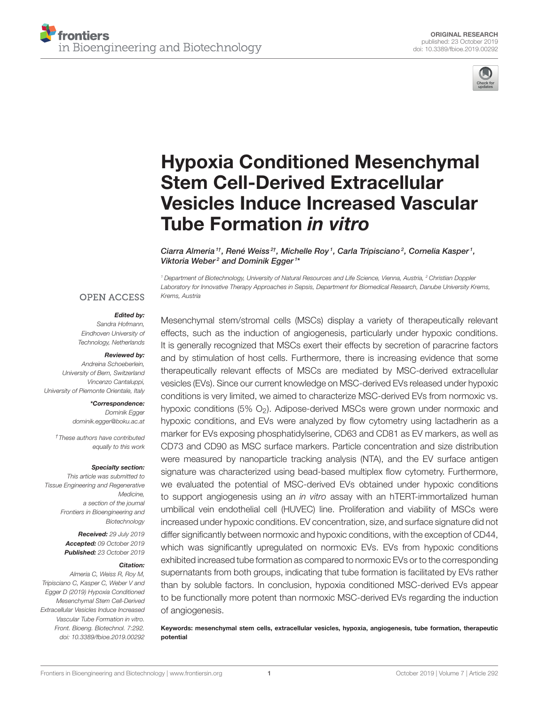

# Hypoxia Conditioned Mesenchymal Stem Cell-Derived Extracellular [Vesicles Induce Increased Vascular](https://www.frontiersin.org/articles/10.3389/fbioe.2019.00292/full) Tube Formation in vitro

[Ciarra Almeria](http://loop.frontiersin.org/people/782300/overview) <sup>1†</sup>, [René Weiss](http://loop.frontiersin.org/people/828455/overview) <sup>2†</sup>, [Michelle Roy](http://loop.frontiersin.org/people/828974/overview) <sup>1</sup>, [Carla Tripisciano](http://loop.frontiersin.org/people/712127/overview) <sup>2</sup>, [Cornelia Kasper](http://loop.frontiersin.org/people/158026/overview) <sup>1</sup>, [Viktoria Weber](http://loop.frontiersin.org/people/495593/overview)<sup>2</sup> and [Dominik Egger](http://loop.frontiersin.org/people/644462/overview)<sup>1\*</sup>

*<sup>1</sup> Department of Biotechnology, University of Natural Resources and Life Science, Vienna, Austria, <sup>2</sup> Christian Doppler Laboratory for Innovative Therapy Approaches in Sepsis, Department for Biomedical Research, Danube University Krems, Krems, Austria*

#### **OPEN ACCESS**

#### Edited by:

*Sandra Hofmann, Eindhoven University of Technology, Netherlands*

#### Reviewed by:

*Andreina Schoeberlein, University of Bern, Switzerland Vincenzo Cantaluppi, University of Piemonte Orientale, Italy*

#### \*Correspondence:

*Dominik Egger [dominik.egger@boku.ac.at](mailto:dominik.egger@boku.ac.at)*

*†These authors have contributed equally to this work*

#### Specialty section:

*This article was submitted to Tissue Engineering and Regenerative Medicine, a section of the journal Frontiers in Bioengineering and Biotechnology*

> Received: *29 July 2019* Accepted: *09 October 2019* Published: *23 October 2019*

#### Citation:

*Almeria C, Weiss R, Roy M, Tripisciano C, Kasper C, Weber V and Egger D (2019) Hypoxia Conditioned Mesenchymal Stem Cell-Derived Extracellular Vesicles Induce Increased Vascular Tube Formation in vitro. Front. Bioeng. Biotechnol. 7:292. doi: [10.3389/fbioe.2019.00292](https://doi.org/10.3389/fbioe.2019.00292)* Mesenchymal stem/stromal cells (MSCs) display a variety of therapeutically relevant effects, such as the induction of angiogenesis, particularly under hypoxic conditions. It is generally recognized that MSCs exert their effects by secretion of paracrine factors and by stimulation of host cells. Furthermore, there is increasing evidence that some therapeutically relevant effects of MSCs are mediated by MSC-derived extracellular vesicles (EVs). Since our current knowledge on MSC-derived EVs released under hypoxic conditions is very limited, we aimed to characterize MSC-derived EVs from normoxic vs. hypoxic conditions  $(5\% \, O_2)$ . Adipose-derived MSCs were grown under normoxic and hypoxic conditions, and EVs were analyzed by flow cytometry using lactadherin as a marker for EVs exposing phosphatidylserine, CD63 and CD81 as EV markers, as well as CD73 and CD90 as MSC surface markers. Particle concentration and size distribution were measured by nanoparticle tracking analysis (NTA), and the EV surface antigen signature was characterized using bead-based multiplex flow cytometry. Furthermore, we evaluated the potential of MSC-derived EVs obtained under hypoxic conditions to support angiogenesis using an *in vitro* assay with an hTERT-immortalized human umbilical vein endothelial cell (HUVEC) line. Proliferation and viability of MSCs were increased under hypoxic conditions. EV concentration, size, and surface signature did not differ significantly between normoxic and hypoxic conditions, with the exception of CD44, which was significantly upregulated on normoxic EVs. EVs from hypoxic conditions exhibited increased tube formation as compared to normoxic EVs or to the corresponding supernatants from both groups, indicating that tube formation is facilitated by EVs rather than by soluble factors. In conclusion, hypoxia conditioned MSC-derived EVs appear to be functionally more potent than normoxic MSC-derived EVs regarding the induction of angiogenesis.

Keywords: mesenchymal stem cells, extracellular vesicles, hypoxia, angiogenesis, tube formation, therapeutic potential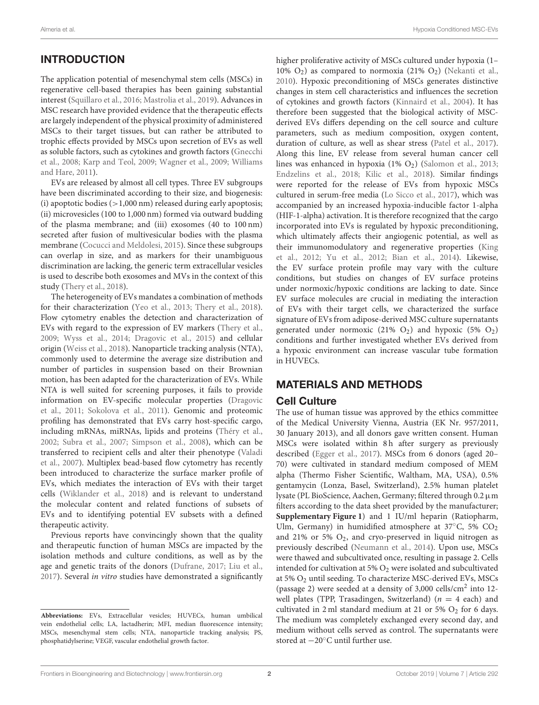# INTRODUCTION

The application potential of mesenchymal stem cells (MSCs) in regenerative cell-based therapies has been gaining substantial interest [\(Squillaro et al., 2016;](#page-10-0) [Mastrolia et al., 2019\)](#page-10-1). Advances in MSC research have provided evidence that the therapeutic effects are largely independent of the physical proximity of administered MSCs to their target tissues, but can rather be attributed to trophic effects provided by MSCs upon secretion of EVs as well as soluble factors, such as cytokines and growth factors (Gnecchi et al., [2008;](#page-10-2) [Karp and Teol, 2009;](#page-10-3) [Wagner et al., 2009;](#page-11-0) Williams and Hare, [2011\)](#page-11-1).

EVs are released by almost all cell types. Three EV subgroups have been discriminated according to their size, and biogenesis: (i) apoptotic bodies  $(>1,000 \text{ nm})$  released during early apoptosis; (ii) microvesicles (100 to 1,000 nm) formed via outward budding of the plasma membrane; and (iii) exosomes (40 to 100 nm) secreted after fusion of multivesicular bodies with the plasma membrane [\(Cocucci and Meldolesi, 2015\)](#page-9-0). Since these subgroups can overlap in size, and as markers for their unambiguous discrimination are lacking, the generic term extracellular vesicles is used to describe both exosomes and MVs in the context of this study [\(Thery et al., 2018\)](#page-11-2).

The heterogeneity of EVs mandates a combination of methods for their characterization [\(Yeo et al., 2013;](#page-11-3) [Thery et al., 2018\)](#page-11-2). Flow cytometry enables the detection and characterization of EVs with regard to the expression of EV markers [\(Thery et al.,](#page-11-4) [2009;](#page-11-4) [Wyss et al., 2014;](#page-11-5) [Dragovic et al., 2015\)](#page-9-1) and cellular origin [\(Weiss et al., 2018\)](#page-11-6). Nanoparticle tracking analysis (NTA), commonly used to determine the average size distribution and number of particles in suspension based on their Brownian motion, has been adapted for the characterization of EVs. While NTA is well suited for screening purposes, it fails to provide information on EV-specific molecular properties (Dragovic et al., [2011;](#page-9-2) [Sokolova et al., 2011\)](#page-10-4). Genomic and proteomic profiling has demonstrated that EVs carry host-specific cargo, including mRNAs, miRNAs, lipids and proteins [\(Théry et al.,](#page-11-7) [2002;](#page-11-7) [Subra et al., 2007;](#page-11-8) [Simpson et al., 2008\)](#page-10-5), which can be transferred to recipient cells and alter their phenotype (Valadi et al., [2007\)](#page-11-9). Multiplex bead-based flow cytometry has recently been introduced to characterize the surface marker profile of EVs, which mediates the interaction of EVs with their target cells [\(Wiklander et al., 2018\)](#page-11-10) and is relevant to understand the molecular content and related functions of subsets of EVs and to identifying potential EV subsets with a defined therapeutic activity.

Previous reports have convincingly shown that the quality and therapeutic function of human MSCs are impacted by the isolation methods and culture conditions, as well as by the age and genetic traits of the donors [\(Dufrane, 2017;](#page-9-3) [Liu et al.,](#page-10-6) [2017\)](#page-10-6). Several in vitro studies have demonstrated a significantly higher proliferative activity of MSCs cultured under hypoxia (1-10%  $O_2$ ) as compared to normoxia (21%  $O_2$ ) [\(Nekanti et al.,](#page-10-7) [2010\)](#page-10-7). Hypoxic preconditioning of MSCs generates distinctive changes in stem cell characteristics and influences the secretion of cytokines and growth factors [\(Kinnaird et al., 2004\)](#page-10-8). It has therefore been suggested that the biological activity of MSCderived EVs differs depending on the cell source and culture parameters, such as medium composition, oxygen content, duration of culture, as well as shear stress [\(Patel et al., 2017\)](#page-10-9). Along this line, EV release from several human cancer cell lines was enhanced in hypoxia  $(1\% \text{ O}_2)$  [\(Salomon et al., 2013;](#page-10-10) [Endzelins et al., 2018;](#page-9-4) [Kilic et al., 2018\)](#page-10-11). Similar findings were reported for the release of EVs from hypoxic MSCs cultured in serum-free media [\(Lo Sicco et al., 2017\)](#page-10-12), which was accompanied by an increased hypoxia-inducible factor 1-alpha (HIF-1-alpha) activation. It is therefore recognized that the cargo incorporated into EVs is regulated by hypoxic preconditioning, which ultimately affects their angiogenic potential, as well as their immunomodulatory and regenerative properties (King et al., [2012;](#page-10-13) [Yu et al., 2012;](#page-11-11) [Bian et al., 2014\)](#page-9-5). Likewise, the EV surface protein profile may vary with the culture conditions, but studies on changes of EV surface proteins under normoxic/hypoxic conditions are lacking to date. Since EV surface molecules are crucial in mediating the interaction of EVs with their target cells, we characterized the surface signature of EVs from adipose-derived MSC culture supernatants generated under normoxic (21%  $O_2$ ) and hypoxic (5%  $O_2$ ) conditions and further investigated whether EVs derived from a hypoxic environment can increase vascular tube formation in HUVECs.

### MATERIALS AND METHODS

#### Cell Culture

The use of human tissue was approved by the ethics committee of the Medical University Vienna, Austria (EK Nr. 957/2011, 30 January 2013), and all donors gave written consent. Human MSCs were isolated within 8h after surgery as previously described [\(Egger et al., 2017\)](#page-9-6). MSCs from 6 donors (aged 20– 70) were cultivated in standard medium composed of MEM alpha (Thermo Fisher Scientific, Waltham, MA, USA), 0.5% gentamycin (Lonza, Basel, Switzerland), 2.5% human platelet lysate (PL BioScience, Aachen, Germany; filtered through 0.2µm filters according to the data sheet provided by the manufacturer; **[Supplementary Figure 1](#page-9-7)**) and 1 IU/ml heparin (Ratiopharm, Ulm, Germany) in humidified atmosphere at 37 $\mathrm{^{\circ}C}$ , 5%  $\mathrm{CO}_2$ and 21% or 5%  $O_2$ , and cryo-preserved in liquid nitrogen as previously described [\(Neumann et al., 2014\)](#page-10-14). Upon use, MSCs were thawed and subcultivated once, resulting in passage 2. Cells intended for cultivation at 5%  $O_2$  were isolated and subcultivated at 5% O<sup>2</sup> until seeding. To characterize MSC-derived EVs, MSCs (passage 2) were seeded at a density of 3,000 cells/cm<sup>2</sup> into 12 well plates (TPP, Trasadingen, Switzerland) ( $n = 4$  each) and cultivated in 2 ml standard medium at 21 or 5%  $O_2$  for 6 days. The medium was completely exchanged every second day, and medium without cells served as control. The supernatants were stored at −20◦C until further use.

**Abbreviations:** EVs, Extracellular vesicles; HUVECs, human umbilical vein endothelial cells; LA, lactadherin; MFI, median fluorescence intensity; MSCs, mesenchymal stem cells; NTA, nanoparticle tracking analysis; PS, phosphatidylserine; VEGF, vascular endothelial growth factor.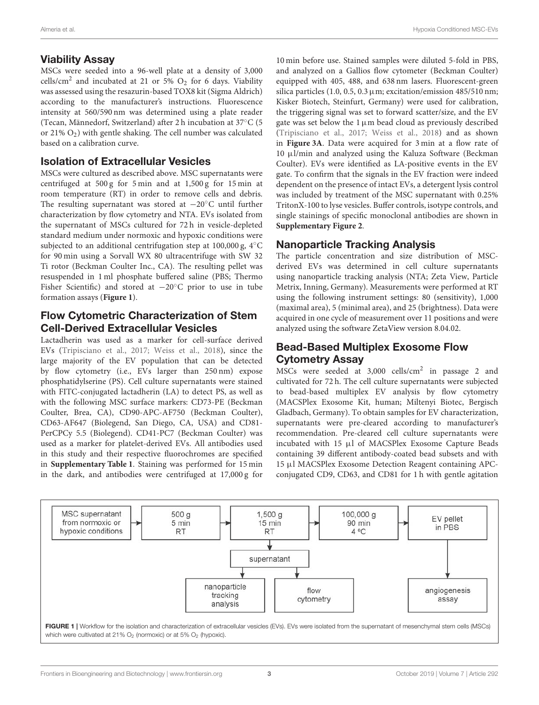#### Viability Assay

MSCs were seeded into a 96-well plate at a density of 3,000 cells/cm<sup>2</sup> and incubated at 21 or 5%  $O_2$  for 6 days. Viability was assessed using the resazurin-based TOX8 kit (Sigma Aldrich) according to the manufacturer's instructions. Fluorescence intensity at 560/590 nm was determined using a plate reader (Tecan, Männedorf, Switzerland) after 2 h incubation at 37◦C (5 or 21%  $O_2$ ) with gentle shaking. The cell number was calculated based on a calibration curve.

#### Isolation of Extracellular Vesicles

MSCs were cultured as described above. MSC supernatants were centrifuged at 500 g for 5 min and at 1,500 g for 15 min at room temperature (RT) in order to remove cells and debris. The resulting supernatant was stored at −20◦C until further characterization by flow cytometry and NTA. EVs isolated from the supernatant of MSCs cultured for 72 h in vesicle-depleted standard medium under normoxic and hypoxic conditions were subjected to an additional centrifugation step at 100,000 g, 4◦C for 90 min using a Sorvall WX 80 ultracentrifuge with SW 32 Ti rotor (Beckman Coulter Inc., CA). The resulting pellet was resuspended in 1 ml phosphate buffered saline (PBS; Thermo Fisher Scientific) and stored at −20◦C prior to use in tube formation assays (**[Figure 1](#page-2-0)**).

### Flow Cytometric Characterization of Stem Cell-Derived Extracellular Vesicles

Lactadherin was used as a marker for cell-surface derived EVs [\(Tripisciano et al., 2017;](#page-11-12) [Weiss et al., 2018\)](#page-11-6), since the large majority of the EV population that can be detected by flow cytometry (i.e., EVs larger than 250 nm) expose phosphatidylserine (PS). Cell culture supernatants were stained with FITC-conjugated lactadherin (LA) to detect PS, as well as with the following MSC surface markers: CD73-PE (Beckman Coulter, Brea, CA), CD90-APC-AF750 (Beckman Coulter), CD63-AF647 (Biolegend, San Diego, CA, USA) and CD81- PerCPCy 5.5 (Biolegend). CD41-PC7 (Beckman Coulter) was used as a marker for platelet-derived EVs. All antibodies used in this study and their respective fluorochromes are specified in **[Supplementary Table 1](#page-9-7)**. Staining was performed for 15 min in the dark, and antibodies were centrifuged at 17,000 g for 10 min before use. Stained samples were diluted 5-fold in PBS, and analyzed on a Gallios flow cytometer (Beckman Coulter) equipped with 405, 488, and 638 nm lasers. Fluorescent-green silica particles (1.0, 0.5, 0.3  $\mu$ m; excitation/emission 485/510 nm; Kisker Biotech, Steinfurt, Germany) were used for calibration, the triggering signal was set to forward scatter/size, and the EV gate was set below the  $1 \mu m$  bead cloud as previously described [\(Tripisciano et al., 2017;](#page-11-12) [Weiss et al., 2018\)](#page-11-6) and as shown in **[Figure 3A](#page-4-0)**. Data were acquired for 3 min at a flow rate of 10 µl/min and analyzed using the Kaluza Software (Beckman Coulter). EVs were identified as LA-positive events in the EV gate. To confirm that the signals in the EV fraction were indeed dependent on the presence of intact EVs, a detergent lysis control was included by treatment of the MSC supernatant with 0.25% TritonX-100 to lyse vesicles. Buffer controls, isotype controls, and single stainings of specific monoclonal antibodies are shown in **[Supplementary Figure 2](#page-9-7)**.

# Nanoparticle Tracking Analysis

The particle concentration and size distribution of MSCderived EVs was determined in cell culture supernatants using nanoparticle tracking analysis (NTA; Zeta View, Particle Metrix, Inning, Germany). Measurements were performed at RT using the following instrument settings: 80 (sensitivity), 1,000 (maximal area), 5 (minimal area), and 25 (brightness). Data were acquired in one cycle of measurement over 11 positions and were analyzed using the software ZetaView version 8.04.02.

# Bead-Based Multiplex Exosome Flow Cytometry Assay

MSCs were seeded at 3,000 cells/cm<sup>2</sup> in passage 2 and cultivated for 72 h. The cell culture supernatants were subjected to bead-based multiplex EV analysis by flow cytometry (MACSPlex Exosome Kit, human; Miltenyi Biotec, Bergisch Gladbach, Germany). To obtain samples for EV characterization, supernatants were pre-cleared according to manufacturer's recommendation. Pre-cleared cell culture supernatants were incubated with 15 µl of MACSPlex Exosome Capture Beads containing 39 different antibody-coated bead subsets and with 15 µl MACSPlex Exosome Detection Reagent containing APCconjugated CD9, CD63, and CD81 for 1 h with gentle agitation

<span id="page-2-0"></span>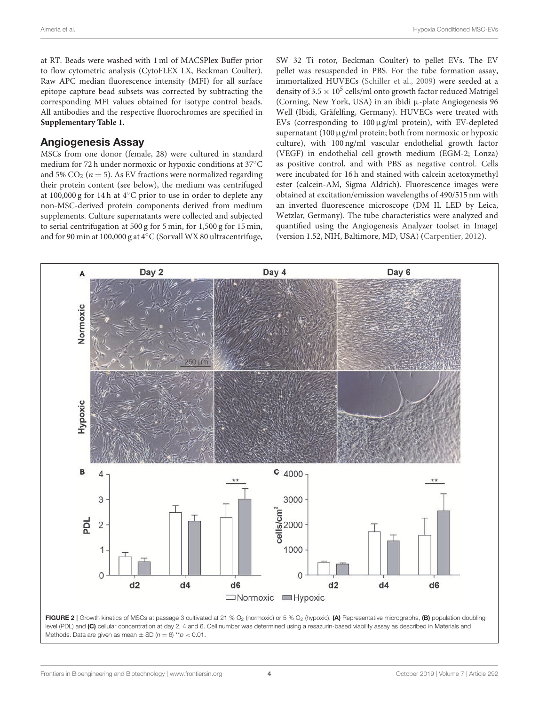at RT. Beads were washed with 1 ml of MACSPlex Buffer prior to flow cytometric analysis (CytoFLEX LX, Beckman Coulter). Raw APC median fluorescence intensity (MFI) for all surface epitope capture bead subsets was corrected by subtracting the corresponding MFI values obtained for isotype control beads. All antibodies and the respective fluorochromes are specified in **[Supplementary Table 1.](#page-9-7)**

#### Angiogenesis Assay

MSCs from one donor (female, 28) were cultured in standard medium for 72 h under normoxic or hypoxic conditions at 37◦C and 5%  $CO_2$  ( $n = 5$ ). As EV fractions were normalized regarding their protein content (see below), the medium was centrifuged at 100,000 g for 14 h at 4◦C prior to use in order to deplete any non-MSC-derived protein components derived from medium supplements. Culture supernatants were collected and subjected to serial centrifugation at 500 g for 5 min, for 1,500 g for 15 min, and for 90 min at 100,000 g at 4◦C (Sorvall WX 80 ultracentrifuge, SW 32 Ti rotor, Beckman Coulter) to pellet EVs. The EV pellet was resuspended in PBS. For the tube formation assay, immortalized HUVECs [\(Schiller et al., 2009\)](#page-10-15) were seeded at a density of 3.5  $\times$  10<sup>5</sup> cells/ml onto growth factor reduced Matrigel (Corning, New York, USA) in an ibidi µ-plate Angiogenesis 96 Well (Ibidi, Gräfelfing, Germany). HUVECs were treated with EVs (corresponding to  $100 \mu$ g/ml protein), with EV-depleted supernatant (100  $\mu$ g/ml protein; both from normoxic or hypoxic culture), with 100 ng/ml vascular endothelial growth factor (VEGF) in endothelial cell growth medium (EGM-2; Lonza) as positive control, and with PBS as negative control. Cells were incubated for 16 h and stained with calcein acetoxymethyl ester (calcein-AM, Sigma Aldrich). Fluorescence images were obtained at excitation/emission wavelengths of 490/515 nm with an inverted fluorescence microscope (DM IL LED by Leica, Wetzlar, Germany). The tube characteristics were analyzed and quantified using the Angiogenesis Analyzer toolset in ImageJ (version 1.52, NIH, Baltimore, MD, USA) [\(Carpentier, 2012\)](#page-9-8).

<span id="page-3-0"></span>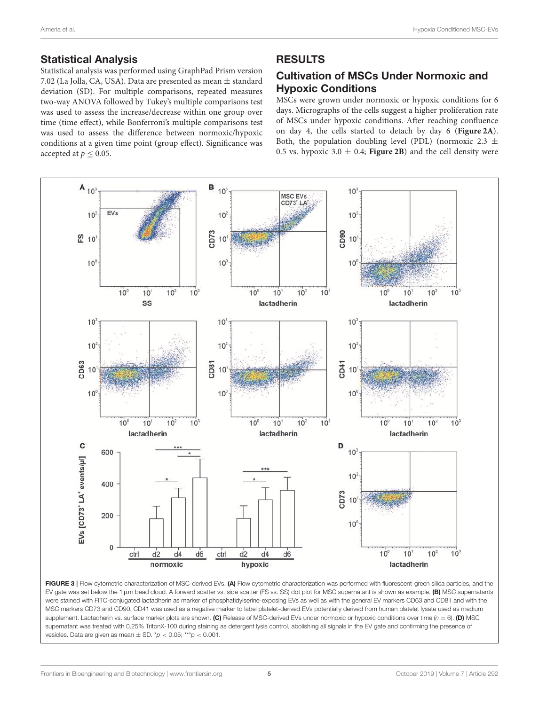#### Statistical Analysis

Statistical analysis was performed using GraphPad Prism version 7.02 (La Jolla, CA, USA). Data are presented as mean ± standard deviation (SD). For multiple comparisons, repeated measures two-way ANOVA followed by Tukey's multiple comparisons test was used to assess the increase/decrease within one group over time (time effect), while Bonferroni's multiple comparisons test was used to assess the difference between normoxic/hypoxic conditions at a given time point (group effect). Significance was accepted at  $p \leq 0.05$ .

#### RESULTS

# Cultivation of MSCs Under Normoxic and Hypoxic Conditions

MSCs were grown under normoxic or hypoxic conditions for 6 days. Micrographs of the cells suggest a higher proliferation rate of MSCs under hypoxic conditions. After reaching confluence on day 4, the cells started to detach by day 6 (**[Figure 2A](#page-3-0)**). Both, the population doubling level (PDL) (normoxic 2.3  $\pm$ 0.5 vs. hypoxic  $3.0 \pm 0.4$ ; **[Figure 2B](#page-3-0)**) and the cell density were



<span id="page-4-0"></span>FIGURE 3 | Flow cytometric characterization of MSC-derived EVs. (A) Flow cytometric characterization was performed with fluorescent-green silica particles, and the EV gate was set below the 1  $\mu$ m bead cloud. A forward scatter vs. side scatter (FS vs. SS) dot plot for MSC supernatant is shown as example. (B) MSC supernatants were stained with FITC-conjugated lactadherin as marker of phosphatidylserine-exposing EVs as well as with the general EV markers CD63 and CD81 and with the MSC markers CD73 and CD90. CD41 was used as a negative marker to label platelet-derived EVs potentially derived from human platelet lysate used as medium supplement. Lactadherin vs. surface marker plots are shown. (C) Release of MSC-derived EVs under normoxic or hypoxic conditions over time (*n* = 6). (D) MSC supernatant was treated with 0.25% TritonX-100 during staining as detergent lysis control, abolishing all signals in the EV gate and confirming the presence of vesicles. Data are given as mean ± SD. \**p* < 0.05; \*\*\**p* < 0.001.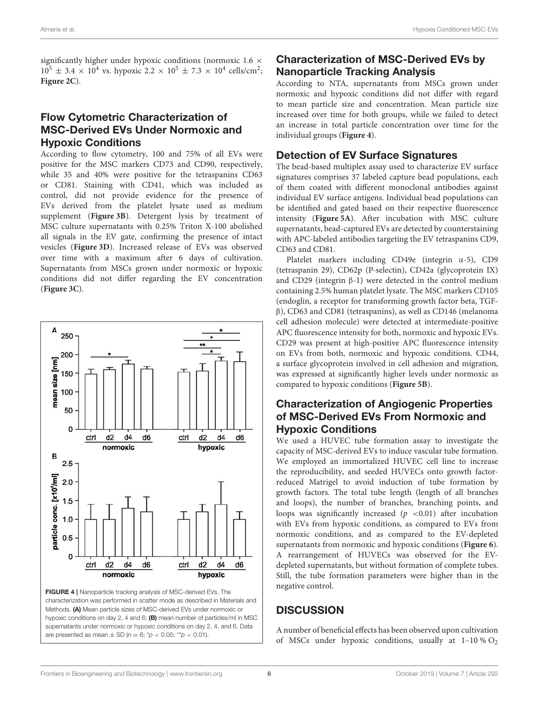significantly higher under hypoxic conditions (normoxic 1.6  $\times$  $10^5 \pm 3.4 \times 10^4$  vs. hypoxic  $2.2 \times 10^5 \pm 7.3 \times 10^4$  cells/cm<sup>2</sup>; **[Figure 2C](#page-3-0)**).

### Flow Cytometric Characterization of MSC-Derived EVs Under Normoxic and Hypoxic Conditions

According to flow cytometry, 100 and 75% of all EVs were positive for the MSC markers CD73 and CD90, respectively, while 35 and 40% were positive for the tetraspanins CD63 or CD81. Staining with CD41, which was included as control, did not provide evidence for the presence of EVs derived from the platelet lysate used as medium supplement (**[Figure 3B](#page-4-0)**). Detergent lysis by treatment of MSC culture supernatants with 0.25% Triton X-100 abolished all signals in the EV gate, confirming the presence of intact vesicles (**[Figure 3D](#page-4-0)**). Increased release of EVs was observed over time with a maximum after 6 days of cultivation. Supernatants from MSCs grown under normoxic or hypoxic conditions did not differ regarding the EV concentration (**[Figure 3C](#page-4-0)**).



<span id="page-5-0"></span>FIGURE 4 | Nanoparticle tracking analysis of MSC-derived EVs. The characterization was performed in scatter mode as described in Materials and Methods. (A) Mean particle sizes of MSC-derived EVs under normoxic or hypoxic conditions on day 2, 4 and 6; (B) mean number of particles/ml in MSC supernatants under normoxic or hypoxic conditions on day 2, 4, and 6. Data are presented as mean  $\pm$  SD ( $n = 6$ ;  $p' < 0.05$ ;  $p' < 0.01$ ).

# Characterization of MSC-Derived EVs by Nanoparticle Tracking Analysis

According to NTA, supernatants from MSCs grown under normoxic and hypoxic conditions did not differ with regard to mean particle size and concentration. Mean particle size increased over time for both groups, while we failed to detect an increase in total particle concentration over time for the individual groups (**[Figure 4](#page-5-0)**).

# Detection of EV Surface Signatures

The bead-based multiplex assay used to characterize EV surface signatures comprises 37 labeled capture bead populations, each of them coated with different monoclonal antibodies against individual EV surface antigens. Individual bead populations can be identified and gated based on their respective fluorescence intensity (**[Figure 5A](#page-6-0)**). After incubation with MSC culture supernatants, bead-captured EVs are detected by counterstaining with APC-labeled antibodies targeting the EV tetraspanins CD9, CD63 and CD81.

Platelet markers including CD49e (integrin α-5), CD9 (tetraspanin 29), CD62p (P-selectin), CD42a (glycoprotein IX) and CD29 (integrin β-1) were detected in the control medium containing 2.5% human platelet lysate. The MSC markers CD105 (endoglin, a receptor for transforming growth factor beta, TGFβ), CD63 and CD81 (tetraspanins), as well as CD146 (melanoma cell adhesion molecule) were detected at intermediate-positive APC fluorescence intensity for both, normoxic and hypoxic EVs. CD29 was present at high-positive APC fluorescence intensity on EVs from both, normoxic and hypoxic conditions. CD44, a surface glycoprotein involved in cell adhesion and migration, was expressed at significantly higher levels under normoxic as compared to hypoxic conditions (**[Figure 5B](#page-6-0)**).

# Characterization of Angiogenic Properties of MSC-Derived EVs From Normoxic and Hypoxic Conditions

We used a HUVEC tube formation assay to investigate the capacity of MSC-derived EVs to induce vascular tube formation. We employed an immortalized HUVEC cell line to increase the reproducibility, and seeded HUVECs onto growth factorreduced Matrigel to avoid induction of tube formation by growth factors. The total tube length (length of all branches and loops), the number of branches, branching points, and loops was significantly increased  $(p \lt 0.01)$  after incubation with EVs from hypoxic conditions, as compared to EVs from normoxic conditions, and as compared to the EV-depleted supernatants from normoxic and hypoxic conditions (**[Figure 6](#page-7-0)**). A rearrangement of HUVECs was observed for the EVdepleted supernatants, but without formation of complete tubes. Still, the tube formation parameters were higher than in the negative control.

# **DISCUSSION**

A number of beneficial effects has been observed upon cultivation of MSCs under hypoxic conditions, usually at  $1-10\%$  O<sub>2</sub>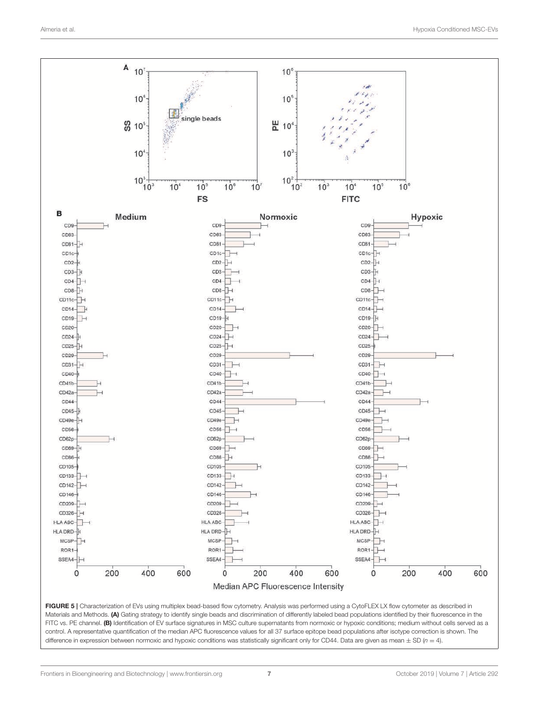

<span id="page-6-0"></span>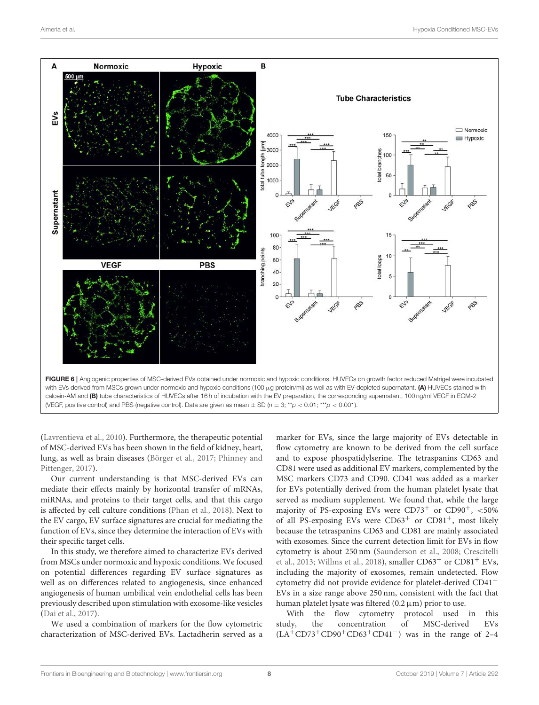

<span id="page-7-0"></span>[\(Lavrentieva et al., 2010\)](#page-10-16). Furthermore, the therapeutic potential of MSC-derived EVs has been shown in the field of kidney, heart, lung, as well as brain diseases [\(Börger et al., 2017;](#page-9-9) Phinney and Pittenger, [2017\)](#page-10-17).

Our current understanding is that MSC-derived EVs can mediate their effects mainly by horizontal transfer of mRNAs, miRNAs, and proteins to their target cells, and that this cargo is affected by cell culture conditions [\(Phan et al., 2018\)](#page-10-18). Next to the EV cargo, EV surface signatures are crucial for mediating the function of EVs, since they determine the interaction of EVs with their specific target cells.

In this study, we therefore aimed to characterize EVs derived from MSCs under normoxic and hypoxic conditions. We focused on potential differences regarding EV surface signatures as well as on differences related to angiogenesis, since enhanced angiogenesis of human umbilical vein endothelial cells has been previously described upon stimulation with exosome-like vesicles [\(Dai et al., 2017\)](#page-9-10).

We used a combination of markers for the flow cytometric characterization of MSC-derived EVs. Lactadherin served as a marker for EVs, since the large majority of EVs detectable in flow cytometry are known to be derived from the cell surface and to expose phospatidylserine. The tetraspanins CD63 and CD81 were used as additional EV markers, complemented by the MSC markers CD73 and CD90. CD41 was added as a marker for EVs potentially derived from the human platelet lysate that served as medium supplement. We found that, while the large majority of PS-exposing EVs were  $CD73^+$  or  $CD90^+$ ,  $<50\%$ of all PS-exposing EVs were  $CD63<sup>+</sup>$  or  $CD81<sup>+</sup>$ , most likely because the tetraspanins CD63 and CD81 are mainly associated with exosomes. Since the current detection limit for EVs in flow cytometry is about 250 nm [\(Saunderson et al., 2008;](#page-10-19) Crescitelli et al., [2013;](#page-9-11) [Willms et al., 2018\)](#page-11-13), smaller  $CD63<sup>+</sup>$  or  $CD81<sup>+</sup>$  EVs, including the majority of exosomes, remain undetected. Flow cytometry did not provide evidence for platelet-derived CD41<sup>+</sup> EVs in a size range above 250 nm, consistent with the fact that human platelet lysate was filtered  $(0.2 \mu m)$  prior to use.

With the flow cytometry protocol used in this study, the concentration of MSC-derived EVs  $(LA+CD73+CD90+CD63+CD41^-)$  was in the range of 2–4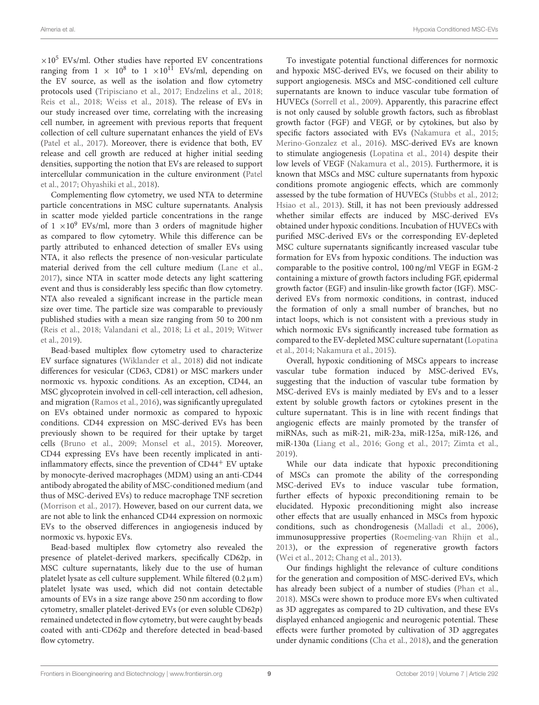$\times 10^5$  EVs/ml. Other studies have reported EV concentrations ranging from  $1 \times 10^8$  to  $1 \times 10^{11}$  EVs/ml, depending on the EV source, as well as the isolation and flow cytometry protocols used [\(Tripisciano et al., 2017;](#page-11-12) [Endzelins et al., 2018;](#page-9-4) [Reis et al., 2018;](#page-10-20) [Weiss et al., 2018\)](#page-11-6). The release of EVs in our study increased over time, correlating with the increasing cell number, in agreement with previous reports that frequent collection of cell culture supernatant enhances the yield of EVs [\(Patel et al., 2017\)](#page-10-9). Moreover, there is evidence that both, EV release and cell growth are reduced at higher initial seeding densities, supporting the notion that EVs are released to support

et al., [2017;](#page-10-9) [Ohyashiki et al., 2018\)](#page-10-21). Complementing flow cytometry, we used NTA to determine particle concentrations in MSC culture supernatants. Analysis in scatter mode yielded particle concentrations in the range of  $1 \times 10^9$  EVs/ml, more than 3 orders of magnitude higher as compared to flow cytometry. While this difference can be partly attributed to enhanced detection of smaller EVs using NTA, it also reflects the presence of non-vesicular particulate material derived from the cell culture medium [\(Lane et al.,](#page-10-22) [2017\)](#page-10-22), since NTA in scatter mode detects any light scattering event and thus is considerably less specific than flow cytometry. NTA also revealed a significant increase in the particle mean size over time. The particle size was comparable to previously published studies with a mean size ranging from 50 to 200 nm [\(Reis et al., 2018;](#page-10-20) [Valandani et al., 2018;](#page-11-14) [Li et al., 2019;](#page-10-23) Witwer et al., [2019\)](#page-11-15).

intercellular communication in the culture environment (Patel

Bead-based multiplex flow cytometry used to characterize EV surface signatures [\(Wiklander et al., 2018\)](#page-11-10) did not indicate differences for vesicular (CD63, CD81) or MSC markers under normoxic vs. hypoxic conditions. As an exception, CD44, an MSC glycoprotein involved in cell-cell interaction, cell adhesion, and migration [\(Ramos et al., 2016\)](#page-10-24), was significantly upregulated on EVs obtained under normoxic as compared to hypoxic conditions. CD44 expression on MSC-derived EVs has been previously shown to be required for their uptake by target cells [\(Bruno et al., 2009;](#page-9-12) [Monsel et al., 2015\)](#page-10-25). Moreover, CD44 expressing EVs have been recently implicated in antiinflammatory effects, since the prevention of  $CD44<sup>+</sup>$  EV uptake by monocyte-derived macrophages (MDM) using an anti-CD44 antibody abrogated the ability of MSC-conditioned medium (and thus of MSC-derived EVs) to reduce macrophage TNF secretion [\(Morrison et al., 2017\)](#page-10-26). However, based on our current data, we are not able to link the enhanced CD44 expression on normoxic EVs to the observed differences in angiogenesis induced by normoxic vs. hypoxic EVs.

Bead-based multiplex flow cytometry also revealed the presence of platelet-derived markers, specifically CD62p, in MSC culture supernatants, likely due to the use of human platelet lysate as cell culture supplement. While filtered  $(0.2 \mu m)$ platelet lysate was used, which did not contain detectable amounts of EVs in a size range above 250 nm according to flow cytometry, smaller platelet-derived EVs (or even soluble CD62p) remained undetected in flow cytometry, but were caught by beads coated with anti-CD62p and therefore detected in bead-based flow cytometry.

To investigate potential functional differences for normoxic and hypoxic MSC-derived EVs, we focused on their ability to support angiogenesis. MSCs and MSC-conditioned cell culture supernatants are known to induce vascular tube formation of HUVECs [\(Sorrell et al., 2009\)](#page-10-27). Apparently, this paracrine effect is not only caused by soluble growth factors, such as fibroblast growth factor (FGF) and VEGF, or by cytokines, but also by specific factors associated with EVs [\(Nakamura et al., 2015;](#page-10-28) [Merino-Gonzalez et al., 2016\)](#page-10-29). MSC-derived EVs are known to stimulate angiogenesis [\(Lopatina et al., 2014\)](#page-10-30) despite their low levels of VEGF [\(Nakamura et al., 2015\)](#page-10-28). Furthermore, it is known that MSCs and MSC culture supernatants from hypoxic conditions promote angiogenic effects, which are commonly assessed by the tube formation of HUVECs [\(Stubbs et al., 2012;](#page-11-16) [Hsiao et al., 2013\)](#page-10-31). Still, it has not been previously addressed whether similar effects are induced by MSC-derived EVs obtained under hypoxic conditions. Incubation of HUVECs with purified MSC-derived EVs or the corresponding EV-depleted MSC culture supernatants significantly increased vascular tube formation for EVs from hypoxic conditions. The induction was comparable to the positive control, 100 ng/ml VEGF in EGM-2 containing a mixture of growth factors including FGF, epidermal growth factor (EGF) and insulin-like growth factor (IGF). MSCderived EVs from normoxic conditions, in contrast, induced the formation of only a small number of branches, but no intact loops, which is not consistent with a previous study in which normoxic EVs significantly increased tube formation as compared to the EV-depleted MSC culture supernatant (Lopatina et al., [2014;](#page-10-30) [Nakamura et al., 2015\)](#page-10-28).

Overall, hypoxic conditioning of MSCs appears to increase vascular tube formation induced by MSC-derived EVs, suggesting that the induction of vascular tube formation by MSC-derived EVs is mainly mediated by EVs and to a lesser extent by soluble growth factors or cytokines present in the culture supernatant. This is in line with recent findings that angiogenic effects are mainly promoted by the transfer of miRNAs, such as miR-21, miR-23a, miR-125a, miR-126, and miR-130a [\(Liang et al., 2016;](#page-10-32) [Gong et al., 2017;](#page-10-33) [Zimta et al.,](#page-11-17) [2019\)](#page-11-17).

While our data indicate that hypoxic preconditioning of MSCs can promote the ability of the corresponding MSC-derived EVs to induce vascular tube formation, further effects of hypoxic preconditioning remain to be elucidated. Hypoxic preconditioning might also increase other effects that are usually enhanced in MSCs from hypoxic conditions, such as chondrogenesis [\(Malladi et al., 2006\)](#page-10-34), immunosuppressive properties [\(Roemeling-van Rhijn et al.,](#page-10-35) [2013\)](#page-10-35), or the expression of regenerative growth factors [\(Wei et al., 2012;](#page-11-18) [Chang et al., 2013\)](#page-9-13).

Our findings highlight the relevance of culture conditions for the generation and composition of MSC-derived EVs, which has already been subject of a number of studies [\(Phan et al.,](#page-10-18) [2018\)](#page-10-18). MSCs were shown to produce more EVs when cultivated as 3D aggregates as compared to 2D cultivation, and these EVs displayed enhanced angiogenic and neurogenic potential. These effects were further promoted by cultivation of 3D aggregates under dynamic conditions [\(Cha et al., 2018\)](#page-9-14), and the generation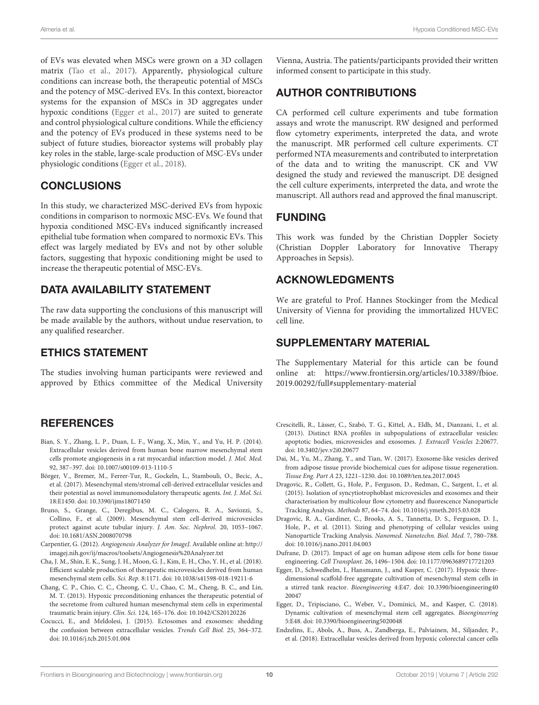of EVs was elevated when MSCs were grown on a 3D collagen matrix [\(Tao et al., 2017\)](#page-11-19). Apparently, physiological culture conditions can increase both, the therapeutic potential of MSCs and the potency of MSC-derived EVs. In this context, bioreactor systems for the expansion of MSCs in 3D aggregates under hypoxic conditions [\(Egger et al., 2017\)](#page-9-6) are suited to generate and control physiological culture conditions. While the efficiency and the potency of EVs produced in these systems need to be subject of future studies, bioreactor systems will probably play key roles in the stable, large-scale production of MSC-EVs under physiologic conditions [\(Egger et al., 2018\)](#page-9-15).

### CONCLUSIONS

In this study, we characterized MSC-derived EVs from hypoxic conditions in comparison to normoxic MSC-EVs. We found that hypoxia conditioned MSC-EVs induced significantly increased epithelial tube formation when compared to normoxic EVs. This effect was largely mediated by EVs and not by other soluble factors, suggesting that hypoxic conditioning might be used to increase the therapeutic potential of MSC-EVs.

# DATA AVAILABILITY STATEMENT

The raw data supporting the conclusions of this manuscript will be made available by the authors, without undue reservation, to any qualified researcher.

### ETHICS STATEMENT

The studies involving human participants were reviewed and approved by Ethics committee of the Medical University

### **REFERENCES**

- <span id="page-9-5"></span>Bian, S. Y., Zhang, L. P., Duan, L. F., Wang, X., Min, Y., and Yu, H. P. (2014). Extracellular vesicles derived from human bone marrow mesenchymal stem cells promote angiogenesis in a rat myocardial infarction model. J. Mol. Med. 92, 387–397. doi: [10.1007/s00109-013-1110-5](https://doi.org/10.1007/s00109-013-1110-5)
- <span id="page-9-9"></span>Börger, V., Bremer, M., Ferrer-Tur, R., Gockeln, L., Stambouli, O., Becic, A., et al. (2017). Mesenchymal stem/stromal cell-derived extracellular vesicles and their potential as novel immunomodulatory therapeutic agents. Int. J. Mol. Sci. 18:E1450. doi: [10.3390/ijms18071450](https://doi.org/10.3390/ijms18071450)
- <span id="page-9-12"></span>Bruno, S., Grange, C., Deregibus, M. C., Calogero, R. A., Saviozzi, S., Collino, F., et al. (2009). Mesenchymal stem cell-derived microvesicles protect against acute tubular injury. J. Am. Soc. Nephrol. 20, 1053–1067. doi: [10.1681/ASN.2008070798](https://doi.org/10.1681/ASN.2008070798)
- <span id="page-9-8"></span>Carpentier, G. (2012). Angiogenesis Analyzer for ImageJ. Available online at: [http://](http://imagej.nih.gov/ij/macros/toolsets/Angiogenesis%20Analyzer.txt) [imagej.nih.gov/ij/macros/toolsets/Angiogenesis%20Analyzer.txt](http://imagej.nih.gov/ij/macros/toolsets/Angiogenesis%20Analyzer.txt)
- <span id="page-9-14"></span>Cha, J. M., Shin, E. K., Sung, J. H., Moon, G. J., Kim, E. H., Cho, Y. H., et al. (2018). Efficient scalable production of therapeutic microvesicles derived from human mesenchymal stem cells. Sci. Rep. 8:1171. doi: [10.1038/s41598-018-19211-6](https://doi.org/10.1038/s41598-018-19211-6)
- <span id="page-9-13"></span>Chang, C. P., Chio, C. C., Cheong, C. U., Chao, C. M., Cheng, B. C., and Lin, M. T. (2013). Hypoxic preconditioning enhances the therapeutic potential of the secretome from cultured human mesenchymal stem cells in experimental traumatic brain injury. Clin. Sci. 124, 165–176. doi: [10.1042/CS20120226](https://doi.org/10.1042/CS20120226)
- <span id="page-9-0"></span>Cocucci, E., and Meldolesi, J. (2015). Ectosomes and exosomes: shedding the confusion between extracellular vesicles. Trends Cell Biol. 25, 364–372. doi: [10.1016/j.tcb.2015.01.004](https://doi.org/10.1016/j.tcb.2015.01.004)

Vienna, Austria. The patients/participants provided their written informed consent to participate in this study.

# AUTHOR CONTRIBUTIONS

CA performed cell culture experiments and tube formation assays and wrote the manuscript. RW designed and performed flow cytometry experiments, interpreted the data, and wrote the manuscript. MR performed cell culture experiments. CT performed NTA measurements and contributed to interpretation of the data and to writing the manuscript. CK and VW designed the study and reviewed the manuscript. DE designed the cell culture experiments, interpreted the data, and wrote the manuscript. All authors read and approved the final manuscript.

### FUNDING

This work was funded by the Christian Doppler Society (Christian Doppler Laboratory for Innovative Therapy Approaches in Sepsis).

### ACKNOWLEDGMENTS

We are grateful to Prof. Hannes Stockinger from the Medical University of Vienna for providing the immortalized HUVEC cell line.

#### SUPPLEMENTARY MATERIAL

<span id="page-9-7"></span>The Supplementary Material for this article can be found [online at: https://www.frontiersin.org/articles/10.3389/fbioe.](https://www.frontiersin.org/articles/10.3389/fbioe.2019.00292/full#supplementary-material) 2019.00292/full#supplementary-material

- <span id="page-9-11"></span>Crescitelli, R., Lässer, C., Szabó, T. G., Kittel, A., Eldh, M., Dianzani, I., et al. (2013). Distinct RNA profiles in subpopulations of extracellular vesicles: apoptotic bodies, microvesicles and exosomes. J. Extracell Vesicles 2:20677. doi: [10.3402/jev.v2i0.20677](https://doi.org/10.3402/jev.v2i0.20677)
- <span id="page-9-10"></span>Dai, M., Yu, M., Zhang, Y., and Tian, W. (2017). Exosome-like vesicles derived from adipose tissue provide biochemical cues for adipose tissue regeneration. Tissue Eng. Part A 23, 1221–1230. doi: [10.1089/ten.tea.2017.0045](https://doi.org/10.1089/ten.tea.2017.0045)
- <span id="page-9-1"></span>Dragovic, R., Collett, G., Hole, P., Ferguson, D., Redman, C., Sargent, I., et al. (2015). Isolation of syncytiotrophoblast microvesicles and exosomes and their characterisation by multicolour flow cytometry and fluorescence Nanoparticle Tracking Analysis. Methods 87, 64–74. doi: [10.1016/j.ymeth.2015.03.028](https://doi.org/10.1016/j.ymeth.2015.03.028)
- <span id="page-9-2"></span>Dragovic, R. A., Gardiner, C., Brooks, A. S., Tannetta, D. S., Ferguson, D. J., Hole, P., et al. (2011). Sizing and phenotyping of cellular vesicles using Nanoparticle Tracking Analysis. Nanomed. Nanotechn. Biol. Med. 7, 780–788. doi: [10.1016/j.nano.2011.04.003](https://doi.org/10.1016/j.nano.2011.04.003)
- <span id="page-9-3"></span>Dufrane, D. (2017). Impact of age on human adipose stem cells for bone tissue engineering. Cell Transplant. 26, 1496–1504. doi: [10.1177/0963689717721203](https://doi.org/10.1177/0963689717721203)
- <span id="page-9-6"></span>Egger, D., Schwedhelm, I., Hansmann, J., and Kasper, C. (2017). Hypoxic threedimensional scaffold-free aggregate cultivation of mesenchymal stem cells in a stirred tank reactor. Bioengineering [4:E47. doi: 10.3390/bioengineering40](https://doi.org/10.3390/bioengineering4020047) 20047
- <span id="page-9-15"></span>Egger, D., Tripisciano, C., Weber, V., Dominici, M., and Kasper, C. (2018). Dynamic cultivation of mesenchymal stem cell aggregates. Bioengineering 5:E48. doi: [10.3390/bioengineering5020048](https://doi.org/10.3390/bioengineering5020048)
- <span id="page-9-4"></span>Endzelins, E., Abols, A., Buss, A., Zandberga, E., Palviainen, M., Siljander, P., et al. (2018). Extracellular vesicles derived from hypoxic colorectal cancer cells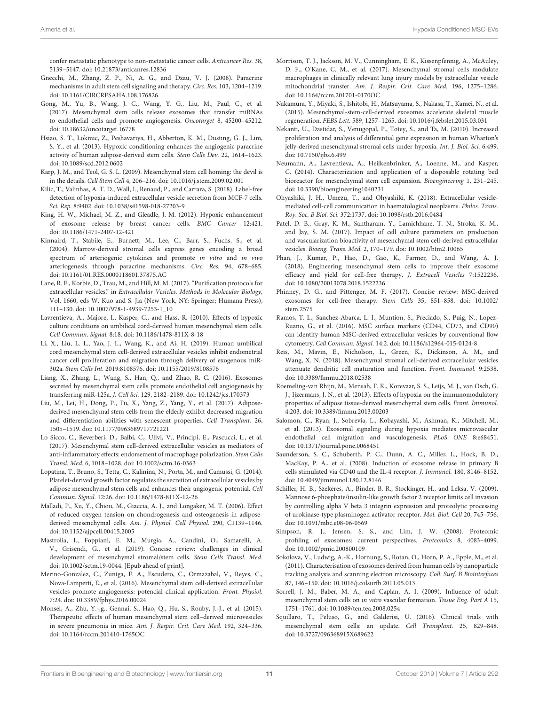confer metastatic phenotype to non-metastatic cancer cells. Anticancer Res. 38, 5139–5147. doi: [10.21873/anticanres.12836](https://doi.org/10.21873/anticanres.12836)

- <span id="page-10-2"></span>Gnecchi, M., Zhang, Z. P., Ni, A. G., and Dzau, V. J. (2008). Paracrine mechanisms in adult stem cell signaling and therapy. Circ. Res. 103, 1204–1219. doi: [10.1161/CIRCRESAHA.108.176826](https://doi.org/10.1161/CIRCRESAHA.108.176826)
- <span id="page-10-33"></span>Gong, M., Yu, B., Wang, J. C., Wang, Y. G., Liu, M., Paul, C., et al. (2017). Mesenchymal stem cells release exosomes that transfer miRNAs to endothelial cells and promote angiogenesis. Oncotarget 8, 45200–45212. doi: [10.18632/oncotarget.16778](https://doi.org/10.18632/oncotarget.16778)
- <span id="page-10-31"></span>Hsiao, S. T., Lokmic, Z., Peshavariya, H., Abberton, K. M., Dusting, G. J., Lim, S. Y., et al. (2013). Hypoxic conditioning enhances the angiogenic paracrine activity of human adipose-derived stem cells. Stem Cells Dev. 22, 1614–1623. doi: [10.1089/scd.2012.0602](https://doi.org/10.1089/scd.2012.0602)
- <span id="page-10-3"></span>Karp, J. M., and Teol, G. S. L. (2009). Mesenchymal stem cell homing: the devil is in the details. Cell Stem Cell 4, 206–216. doi: [10.1016/j.stem.2009.02.001](https://doi.org/10.1016/j.stem.2009.02.001)
- <span id="page-10-11"></span>Kilic, T., Valinhas, A. T. D., Wall, I., Renaud, P., and Carrara, S. (2018). Label-free detection of hypoxia-induced extracellular vesicle secretion from MCF-7 cells. Sci. Rep. 8:9402. doi: [10.1038/s41598-018-27203-9](https://doi.org/10.1038/s41598-018-27203-9)
- <span id="page-10-13"></span>King, H. W., Michael, M. Z., and Gleadle, J. M. (2012). Hypoxic enhancement of exosome release by breast cancer cells. BMC Cancer 12:421. doi: [10.1186/1471-2407-12-421](https://doi.org/10.1186/1471-2407-12-421)
- <span id="page-10-8"></span>Kinnaird, T., Stabile, E., Burnett, M., Lee, C., Barr, S., Fuchs, S., et al. (2004). Marrow-derived stromal cells express genes encoding a broad spectrum of arteriogenic cytokines and promote in vitro and in vivo arteriogenesis through paracrine mechanisms. Circ. Res. 94, 678–685. doi: [10.1161/01.RES.0000118601.37875.AC](https://doi.org/10.1161/01.RES.0000118601.37875.AC)
- <span id="page-10-22"></span>Lane, R. E., Korbie, D., Trau, M., and Hill, M. M. (2017). "Purification protocols for extracellular vesicles," in Extracellular Vesicles. Methods in Molecular Biology, Vol. 1660, eds W. Kuo and S. Jia (New York, NY: Springer; Humana Press), 111–130. doi: [10.1007/978-1-4939-7253-1\\_10](https://doi.org/10.1007/978-1-4939-7253-1_10)
- <span id="page-10-16"></span>Lavrentieva, A., Majore, I., Kasper, C., and Hass, R. (2010). Effects of hypoxic culture conditions on umbilical cord-derived human mesenchymal stem cells. Cell Commun. Signal. 8:18. doi: [10.1186/1478-811X-8-18](https://doi.org/10.1186/1478-811X-8-18)
- <span id="page-10-23"></span>Li, X., Liu, L. L., Yao, J. L., Wang, K., and Ai, H. (2019). Human umbilical cord mesenchymal stem cell-derived extracellular vesicles inhibit endometrial cancer cell proliferation and migration through delivery of exogenous miR-302a. Stem Cells Int. 2019:8108576. doi: [10.1155/2019/8108576](https://doi.org/10.1155/2019/8108576)
- <span id="page-10-32"></span>Liang, X., Zhang, L., Wang, S., Han, Q., and Zhao, R. C. (2016). Exosomes secreted by mesenchymal stem cells promote endothelial cell angiogenesis by transferring miR-125a. J. Cell Sci. 129, 2182–2189. doi: [10.1242/jcs.170373](https://doi.org/10.1242/jcs.170373)
- <span id="page-10-6"></span>Liu, M., Lei, H., Dong, P., Fu, X., Yang, Z., Yang, Y., et al. (2017). Adiposederived mesenchymal stem cells from the elderly exhibit decreased migration and differentiation abilities with senescent properties. Cell Transplant. 26, 1505–1519. doi: [10.1177/0963689717721221](https://doi.org/10.1177/0963689717721221)
- <span id="page-10-12"></span>Lo Sicco, C., Reverberi, D., Balbi, C., Ulivi, V., Principi, E., Pascucci, L., et al. (2017). Mesenchymal stem cell-derived extracellular vesicles as mediators of anti-inflammatory effects: endorsement of macrophage polarization. Stem Cells Transl. Med. 6, 1018–1028. doi: [10.1002/sctm.16-0363](https://doi.org/10.1002/sctm.16-0363)
- <span id="page-10-30"></span>Lopatina, T., Bruno, S., Tetta, C., Kalinina, N., Porta, M., and Camussi, G. (2014). Platelet-derived growth factor regulates the secretion of extracellular vesicles by adipose mesenchymal stem cells and enhances their angiogenic potential. Cell Commun. Signal. 12:26. doi: [10.1186/1478-811X-12-26](https://doi.org/10.1186/1478-811X-12-26)
- <span id="page-10-34"></span>Malladi, P., Xu, Y., Chiou, M., Giaccia, A. J., and Longaker, M. T. (2006). Effect of reduced oxygen tension on chondrogenesis and osteogenesis in adiposederived mesenchymal cells. Am. J. Physiol. Cell Physiol. 290, C1139–1146. doi: [10.1152/ajpcell.00415.2005](https://doi.org/10.1152/ajpcell.00415.2005)
- <span id="page-10-1"></span>Mastrolia, I., Foppiani, E. M., Murgia, A., Candini, O., Samarelli, A. V., Grisendi, G., et al. (2019). Concise review: challenges in clinical development of mesenchymal stromal/stem cells. Stem Cells Transl. Med. doi: [10.1002/sctm.19-0044.](https://doi.org/10.1002/sctm.19-0044) [Epub ahead of print].
- <span id="page-10-29"></span>Merino-Gonzalez, C., Zuniga, F. A., Escudero, C., Ormazabal, V., Reyes, C., Nova-Lamperti, E., et al. (2016). Mesenchymal stem cell-derived extracellular vesicles promote angiogenesis: potencial clinical application. Front. Physiol. 7:24. doi: [10.3389/fphys.2016.00024](https://doi.org/10.3389/fphys.2016.00024)
- <span id="page-10-25"></span>Monsel, A., Zhu, Y.-,g., Gennai, S., Hao, Q., Hu, S., Rouby, J.-J., et al. (2015). Therapeutic effects of human mesenchymal stem cell–derived microvesicles in severe pneumonia in mice. Am. J. Respir. Crit. Care Med. 192, 324–336. doi: [10.1164/rccm.201410-1765OC](https://doi.org/10.1164/rccm.201410-1765OC)
- <span id="page-10-26"></span>Morrison, T. J., Jackson, M. V., Cunningham, E. K., Kissenpfennig, A., McAuley, D. F., O'Kane, C. M., et al. (2017). Mesenchymal stromal cells modulate macrophages in clinically relevant lung injury models by extracellular vesicle mitochondrial transfer. Am. J. Respir. Crit. Care Med. 196, 1275–1286. doi: [10.1164/rccm.201701-0170OC](https://doi.org/10.1164/rccm.201701-0170OC)
- <span id="page-10-28"></span>Nakamura, Y., Miyaki, S., Ishitobi, H., Matsuyama, S., Nakasa, T., Kamei, N., et al. (2015). Mesenchymal-stem-cell-derived exosomes accelerate skeletal muscle regeneration. FEBS Lett. 589, 1257–1265. doi: [10.1016/j.febslet.2015.03.031](https://doi.org/10.1016/j.febslet.2015.03.031)
- <span id="page-10-7"></span>Nekanti, U., Dastidar, S., Venugopal, P., Totey, S., and Ta, M. (2010). Increased proliferation and analysis of differential gene expression in human Wharton's jelly-derived mesenchymal stromal cells under hypoxia. Int. J. Biol. Sci. 6:499. doi: [10.7150/ijbs.6.499](https://doi.org/10.7150/ijbs.6.499)
- <span id="page-10-14"></span>Neumann, A., Lavrentieva, A., Heilkenbrinker, A., Loenne, M., and Kasper, C. (2014). Characterization and application of a disposable rotating bed bioreactor for mesenchymal stem cell expansion. Bioengineering 1, 231–245. doi: [10.3390/bioengineering1040231](https://doi.org/10.3390/bioengineering1040231)
- <span id="page-10-21"></span>Ohyashiki, J. H., Umezu, T., and Ohyashiki, K. (2018). Extracellular vesiclemediated cell-cell communication in haematological neoplasms. Philos. Trans. Roy. Soc. B Biol. Sci. 372:1737. doi: [10.1098/rstb.2016.0484](https://doi.org/10.1098/rstb.2016.0484)
- <span id="page-10-9"></span>Patel, D. B., Gray, K. M., Santharam, Y., Lamichhane, T. N., Stroka, K. M., and Jay, S. M. (2017). Impact of cell culture parameters on production and vascularization bioactivity of mesenchymal stem cell-derived extracellular vesicles. Bioeng. Trans. Med. 2, 170–179. doi: [10.1002/btm2.10065](https://doi.org/10.1002/btm2.10065)
- <span id="page-10-18"></span>Phan, J., Kumar, P., Hao, D., Gao, K., Farmer, D., and Wang, A. J. (2018). Engineering mesenchymal stem cells to improve their exosome efficacy and yield for cell-free therapy. J. Extracell Vesicles 7:1522236. doi: [10.1080/20013078.2018.1522236](https://doi.org/10.1080/20013078.2018.1522236)
- <span id="page-10-17"></span>Phinney, D. G., and Pittenger, M. F. (2017). Concise review: MSC-derived [exosomes for cell-free therapy.](https://doi.org/10.1002/stem.2575) Stem Cells 35, 851–858. doi: 10.1002/ stem.2575
- <span id="page-10-24"></span>Ramos, T. L., Sanchez-Abarca, L. I., Muntion, S., Preciado, S., Puig, N., Lopez-Ruano, G., et al. (2016). MSC surface markers (CD44, CD73, and CD90) can identify human MSC-derived extracellular vesicles by conventional flow cytometry. Cell Commun. Signal. 14:2. doi: [10.1186/s12964-015-0124-8](https://doi.org/10.1186/s12964-015-0124-8)
- <span id="page-10-20"></span>Reis, M., Mavin, E., Nicholson, L., Green, K., Dickinson, A. M., and Wang, X. N. (2018). Mesenchymal stromal cell-derived extracellular vesicles attenuate dendritic cell maturation and function. Front. Immunol. 9:2538. doi: [10.3389/fimmu.2018.02538](https://doi.org/10.3389/fimmu.2018.02538)
- <span id="page-10-35"></span>Roemeling-van Rhijn, M., Mensah, F. K., Korevaar, S. S., Leijs, M. J., van Osch, G. J., Ijzermans, J. N., et al. (2013). Effects of hypoxia on the immunomodulatory properties of adipose tissue-derived mesenchymal stem cells. Front. Immunol. 4:203. doi: [10.3389/fimmu.2013.00203](https://doi.org/10.3389/fimmu.2013.00203)
- <span id="page-10-10"></span>Salomon, C., Ryan, J., Sobrevia, L., Kobayashi, M., Ashman, K., Mitchell, M., et al. (2013). Exosomal signaling during hypoxia mediates microvascular endothelial cell migration and vasculogenesis. PLoS ONE 8:e68451. doi: [10.1371/journal.pone.0068451](https://doi.org/10.1371/journal.pone.0068451)
- <span id="page-10-19"></span>Saunderson, S. C., Schuberth, P. C., Dunn, A. C., Miller, L., Hock, B. D., MacKay, P. A., et al. (2008). Induction of exosome release in primary B cells stimulated via CD40 and the IL-4 receptor. J. Immunol. 180, 8146–8152. doi: [10.4049/jimmunol.180.12.8146](https://doi.org/10.4049/jimmunol.180.12.8146)
- <span id="page-10-15"></span>Schiller, H. B., Szekeres, A., Binder, B. R., Stockinger, H., and Leksa, V. (2009). Mannose 6-phosphate/insulin-like growth factor 2 receptor limits cell invasion by controlling alpha V beta 3 integrin expression and proteolytic processing of urokinase-type plasminogen activator receptor. Mol. Biol. Cell 20, 745–756. doi: [10.1091/mbc.e08-06-0569](https://doi.org/10.1091/mbc.e08-06-0569)
- <span id="page-10-5"></span>Simpson, R. J., Jensen, S. S., and Lim, J. W. (2008). Proteomic profiling of exosomes: current perspectives. Proteomics 8, 4083–4099. doi: [10.1002/pmic.200800109](https://doi.org/10.1002/pmic.200800109)
- <span id="page-10-4"></span>Sokolova, V., Ludwig, A.-K., Hornung, S., Rotan, O., Horn, P. A., Epple, M., et al. (2011). Characterisation of exosomes derived from human cells by nanoparticle tracking analysis and scanning electron microscopy. Coll. Surf. B Biointerfaces 87, 146–150. doi: [10.1016/j.colsurfb.2011.05.013](https://doi.org/10.1016/j.colsurfb.2011.05.013)
- <span id="page-10-27"></span>Sorrell, J. M., Baber, M. A., and Caplan, A. I. (2009). Influence of adult mesenchymal stem cells on in vitro vascular formation. Tissue Eng. Part A 15, 1751–1761. doi: [10.1089/ten.tea.2008.0254](https://doi.org/10.1089/ten.tea.2008.0254)
- <span id="page-10-0"></span>Squillaro, T., Peluso, G., and Galderisi, U. (2016). Clinical trials with mesenchymal stem cells: an update. Cell Transplant. 25, 829–848. doi: [10.3727/096368915X689622](https://doi.org/10.3727/096368915X689622)